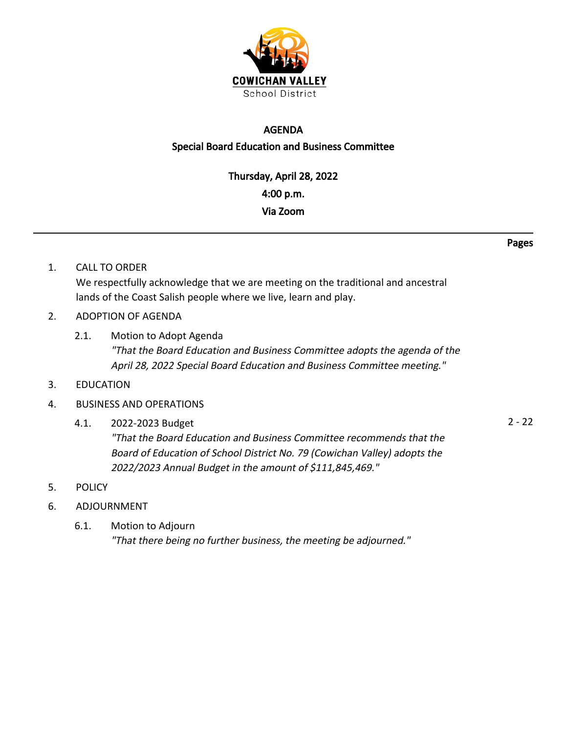

#### AGENDA

#### Special Board Education and Business Committee

Thursday, April 28, 2022 4:00 p.m. Via Zoom

- Pages
- 1. CALL TO ORDER We respectfully acknowledge that we are meeting on the traditional and ancestral lands of the Coast Salish people where we live, learn and play.
- 2. ADOPTION OF AGENDA
	- 2.1. Motion to Adopt Agenda "That the Board Education and Business Committee adopts the agenda of the April 28, 2022 Special Board Education and Business Committee meeting."
- 3. EDUCATION

#### 4. BUSINESS AND OPERATIONS

- 4.1. 2022-2023 Budget 2 22 "That the Board Education and Business Committee recommends that the Board of Education of School District No. 79 (Cowichan Valley) adopts the 2022/2023 Annual Budget in the amount of \$111,845,469."
- 5. POLICY
- 6. ADJOURNMENT
	- 6.1. Motion to Adjourn "That there being no further business, the meeting be adjourned."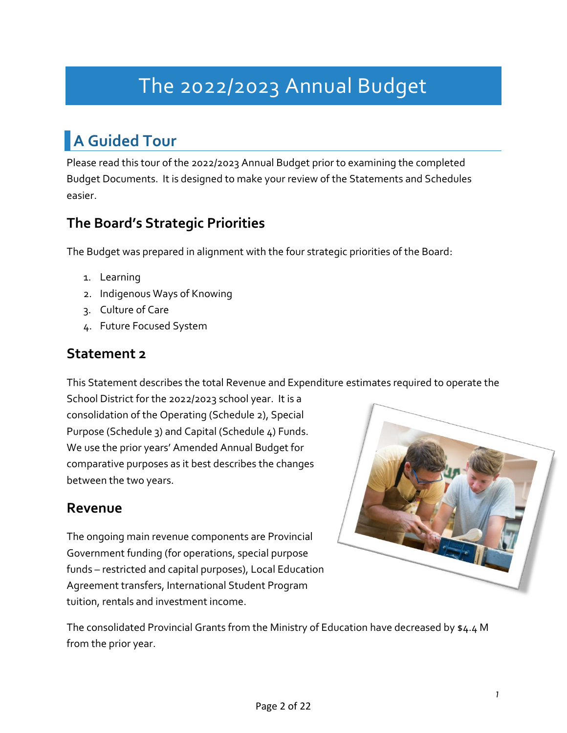# The 2022/2023 Annual Budget

### **A Guided Tour**

Please read this tour of the 2022/2023 Annual Budget prior to examining the completed Budget Documents. It is designed to make your review of the Statements and Schedules easier.

### **The Board's Strategic Priorities**

The Budget was prepared in alignment with the four strategic priorities of the Board:

- 1. Learning
- 2. Indigenous Ways of Knowing
- 3. Culture of Care
- 4. Future Focused System

### **Statement 2**

This Statement describes the total Revenue and Expenditure estimates required to operate the

School District for the 2022/2023 school year. It is a consolidation of the Operating (Schedule 2), Special Purpose (Schedule 3) and Capital (Schedule 4) Funds. We use the prior years' Amended Annual Budget for comparative purposes as it best describes the changes between the two years.

### **Revenue**

The ongoing main revenue components are Provincial Government funding (for operations, special purpose funds – restricted and capital purposes), Local Education Agreement transfers, International Student Program tuition, rentals and investment income.



The consolidated Provincial Grants from the Ministry of Education have decreased by \$4.4 M from the prior year.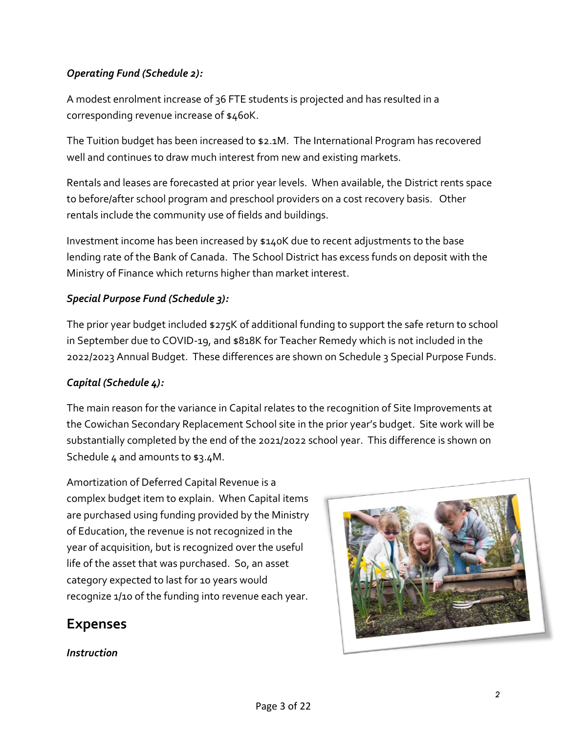#### *Operating Fund (Schedule 2):*

A modest enrolment increase of 36 FTE students is projected and has resulted in a corresponding revenue increase of \$460K.

The Tuition budget has been increased to \$2.1M. The International Program has recovered well and continues to draw much interest from new and existing markets.

Rentals and leases are forecasted at prior year levels. When available, the District rents space to before/after school program and preschool providers on a cost recovery basis. Other rentals include the community use of fields and buildings.

Investment income has been increased by \$140K due to recent adjustments to the base lending rate of the Bank of Canada. The School District has excess funds on deposit with the Ministry of Finance which returns higher than market interest.

#### *Special Purpose Fund (Schedule 3):*

The prior year budget included \$275K of additional funding to support the safe return to school in September due to COVID-19, and \$818K for Teacher Remedy which is not included in the 2022/2023 Annual Budget. These differences are shown on Schedule 3 Special Purpose Funds.

#### *Capital (Schedule 4):*

The main reason for the variance in Capital relates to the recognition of Site Improvements at the Cowichan Secondary Replacement School site in the prior year's budget. Site work will be substantially completed by the end of the 2021/2022 school year. This difference is shown on Schedule 4 and amounts to \$3.4M.

Amortization of Deferred Capital Revenue is a complex budget item to explain. When Capital items are purchased using funding provided by the Ministry of Education, the revenue is not recognized in the year of acquisition, but is recognized over the useful life of the asset that was purchased. So, an asset category expected to last for 10 years would recognize 1/10 of the funding into revenue each year.

#### **Expenses**



#### *Instruction*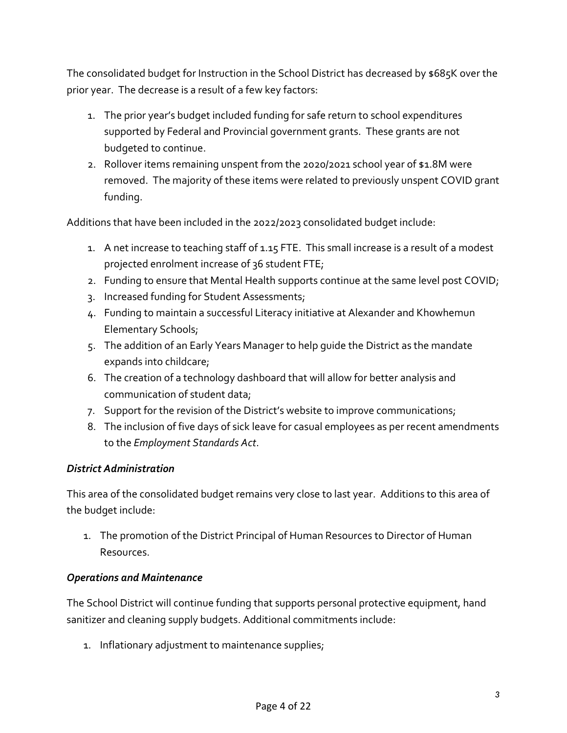The consolidated budget for Instruction in the School District has decreased by \$685K over the prior year. The decrease is a result of a few key factors:

- 1. The prior year's budget included funding for safe return to school expenditures supported by Federal and Provincial government grants. These grants are not budgeted to continue.
- 2. Rollover items remaining unspent from the 2020/2021 school year of \$1.8M were removed. The majority of these items were related to previously unspent COVID grant funding.

Additions that have been included in the 2022/2023 consolidated budget include:

- 1. A net increase to teaching staff of 1.15 FTE. This small increase is a result of a modest projected enrolment increase of 36 student FTE;
- 2. Funding to ensure that Mental Health supports continue at the same level post COVID;
- 3. Increased funding for Student Assessments;
- 4. Funding to maintain a successful Literacy initiative at Alexander and Khowhemun Elementary Schools;
- 5. The addition of an Early Years Manager to help guide the District as the mandate expands into childcare;
- 6. The creation of a technology dashboard that will allow for better analysis and communication of student data;
- 7. Support for the revision of the District's website to improve communications;
- 8. The inclusion of five days of sick leave for casual employees as per recent amendments to the *Employment Standards Act*.

#### *District Administration*

This area of the consolidated budget remains very close to last year. Additions to this area of the budget include:

1. The promotion of the District Principal of Human Resources to Director of Human Resources.

#### *Operations and Maintenance*

The School District will continue funding that supports personal protective equipment, hand sanitizer and cleaning supply budgets. Additional commitments include:

1. Inflationary adjustment to maintenance supplies;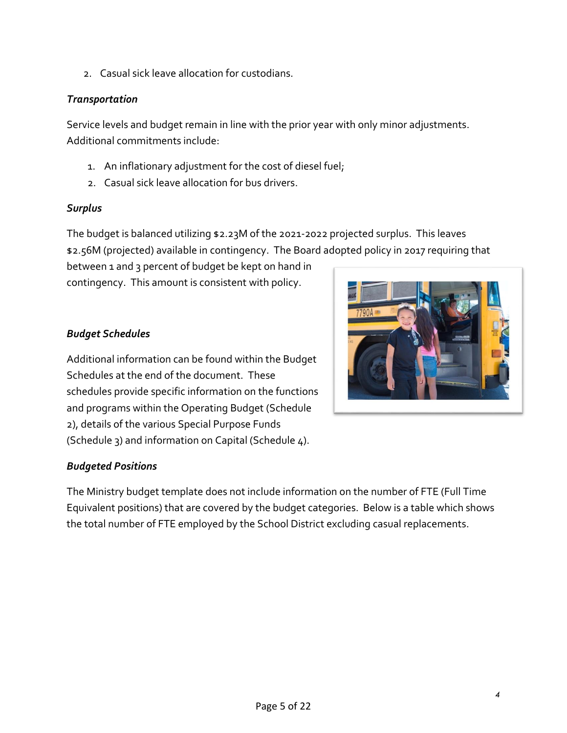2. Casual sick leave allocation for custodians.

#### *Transportation*

Service levels and budget remain in line with the prior year with only minor adjustments. Additional commitments include:

- 1. An inflationary adjustment for the cost of diesel fuel;
- 2. Casual sick leave allocation for bus drivers.

#### *Surplus*

The budget is balanced utilizing \$2.23M of the 2021-2022 projected surplus. This leaves \$2.56M (projected) available in contingency. The Board adopted policy in 2017 requiring that

between 1 and 3 percent of budget be kept on hand in contingency. This amount is consistent with policy.

#### *Budget Schedules*

Additional information can be found within the Budget Schedules at the end of the document. These schedules provide specific information on the functions and programs within the Operating Budget (Schedule 2), details of the various Special Purpose Funds (Schedule 3) and information on Capital (Schedule 4).

#### *Budgeted Positions*

The Ministry budget template does not include information on the number of FTE (Full Time Equivalent positions) that are covered by the budget categories. Below is a table which shows the total number of FTE employed by the School District excluding casual replacements.

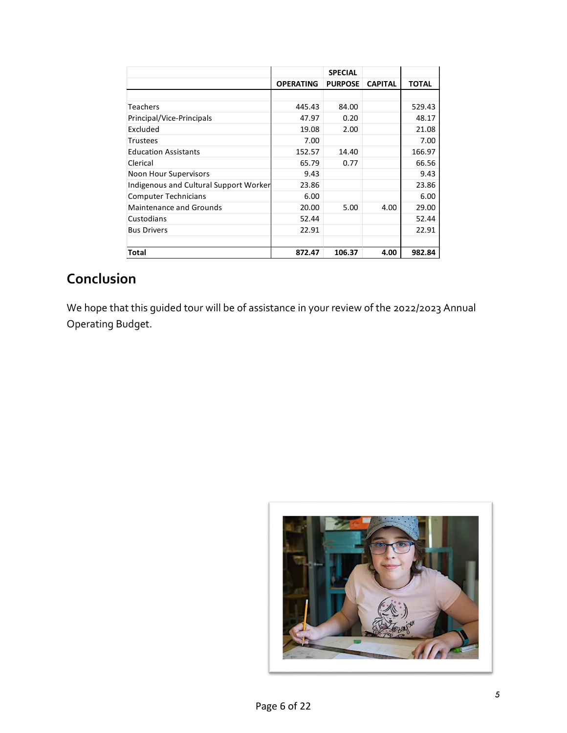|                                        |                  | <b>SPECIAL</b> |                |              |
|----------------------------------------|------------------|----------------|----------------|--------------|
|                                        | <b>OPERATING</b> | <b>PURPOSE</b> | <b>CAPITAL</b> | <b>TOTAL</b> |
|                                        |                  |                |                |              |
| Teachers                               | 445.43           | 84.00          |                | 529.43       |
| Principal/Vice-Principals              | 47.97            | 0.20           |                | 48.17        |
| Excluded                               | 19.08            | 2.00           |                | 21.08        |
| <b>Trustees</b>                        | 7.00             |                |                | 7.00         |
| <b>Education Assistants</b>            | 152.57           | 14.40          |                | 166.97       |
| Clerical                               | 65.79            | 0.77           |                | 66.56        |
| Noon Hour Supervisors                  | 9.43             |                |                | 9.43         |
| Indigenous and Cultural Support Worker | 23.86            |                |                | 23.86        |
| <b>Computer Technicians</b>            | 6.00             |                |                | 6.00         |
| <b>Maintenance and Grounds</b>         | 20.00            | 5.00           | 4.00           | 29.00        |
| Custodians                             | 52.44            |                |                | 52.44        |
| <b>Bus Drivers</b>                     | 22.91            |                |                | 22.91        |
|                                        |                  |                |                |              |
| Total                                  | 872.47           | 106.37         | 4.00           | 982.84       |

### **Conclusion**

We hope that this guided tour will be of assistance in your review of the 2022/2023 Annual Operating Budget.

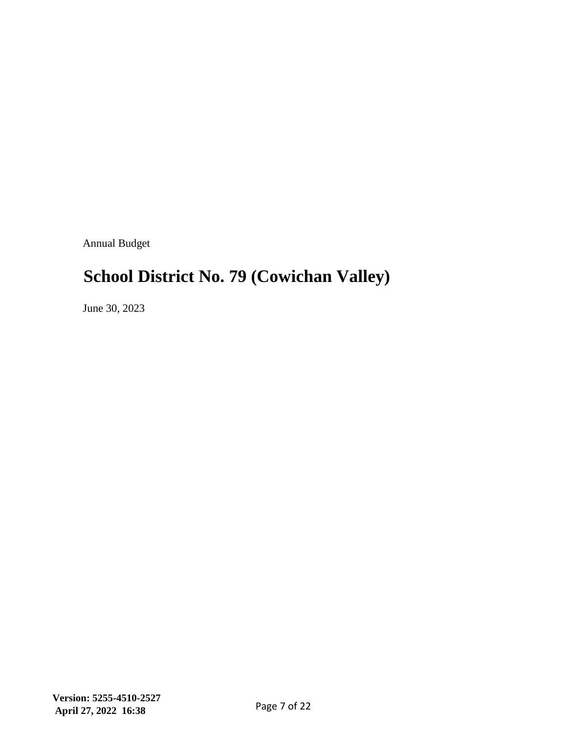Annual Budget

### **School District No. 79 (Cowichan Valley)**

June 30, 2023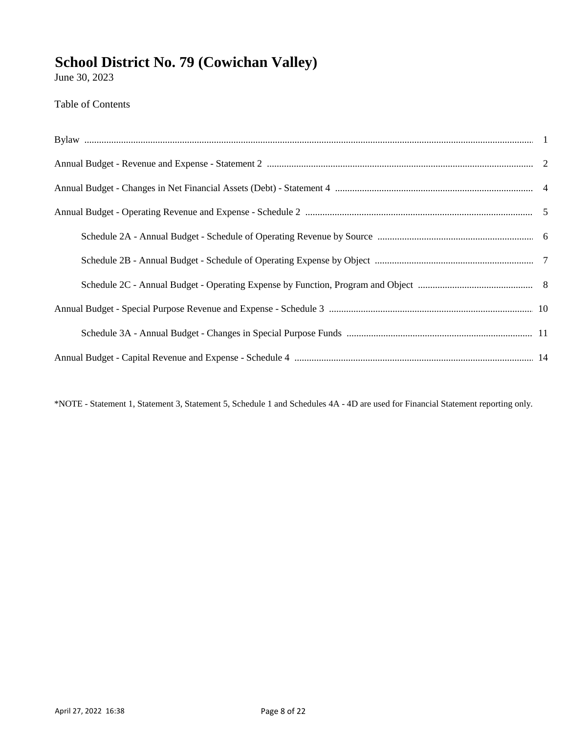June 30, 2023

#### **Table of Contents**

\*NOTE - Statement 1, Statement 3, Statement 5, Schedule 1 and Schedules 4A - 4D are used for Financial Statement reporting only.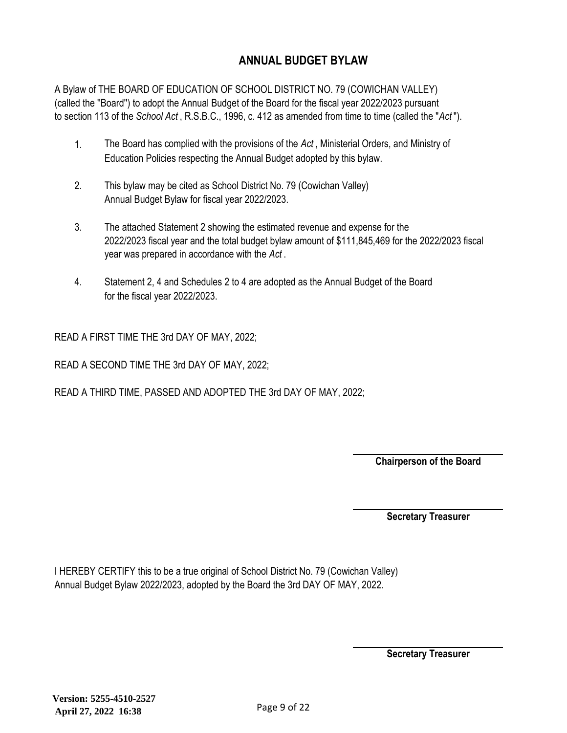#### **ANNUAL BUDGET BYLAW**

A Bylaw of THE BOARD OF EDUCATION OF SCHOOL DISTRICT NO. 79 (COWICHAN VALLEY) (called the ''Board'') to adopt the Annual Budget of the Board for the fiscal year 2022/2023 pursuant to section 113 of the *School Act* , R.S.B.C., 1996, c. 412 as amended from time to time (called the "*Act* ").

- 1. The Board has complied with the provisions of the *Act* , Ministerial Orders, and Ministry of Education Policies respecting the Annual Budget adopted by this bylaw.
- 2. This bylaw may be cited as School District No. 79 (Cowichan Valley) Annual Budget Bylaw for fiscal year 2022/2023.
- 3. The attached Statement 2 showing the estimated revenue and expense for the 2022/2023 fiscal year and the total budget bylaw amount of \$111,845,469 for the 2022/2023 fiscal year was prepared in accordance with the *Act* .
- 4. Statement 2, 4 and Schedules 2 to 4 are adopted as the Annual Budget of the Board for the fiscal year 2022/2023.

READ A FIRST TIME THE 3rd DAY OF MAY, 2022;

READ A SECOND TIME THE 3rd DAY OF MAY, 2022;

READ A THIRD TIME, PASSED AND ADOPTED THE 3rd DAY OF MAY, 2022;

**Chairperson of the Board**

**Secretary Treasurer**

I HEREBY CERTIFY this to be a true original of School District No. 79 (Cowichan Valley) Annual Budget Bylaw 2022/2023, adopted by the Board the 3rd DAY OF MAY, 2022.

**Secretary Treasurer**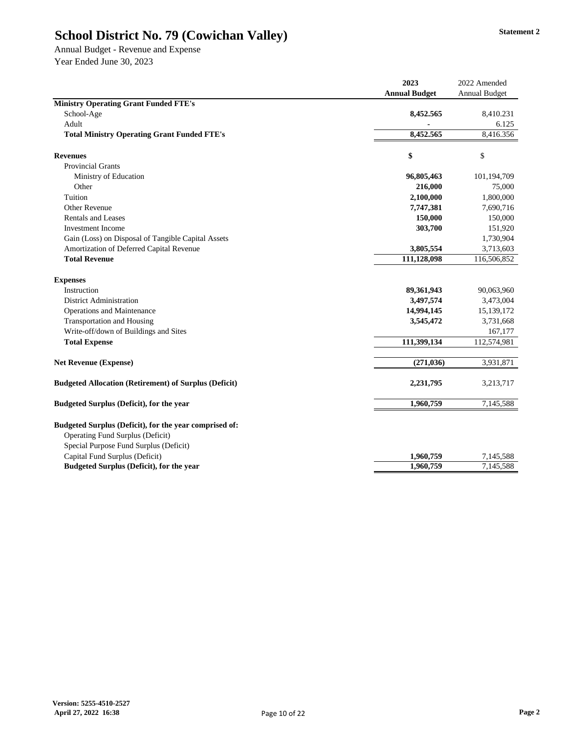Annual Budget - Revenue and Expense Year Ended June 30, 2023

|                                                                                                                                             | 2023                 | 2022 Amended         |
|---------------------------------------------------------------------------------------------------------------------------------------------|----------------------|----------------------|
|                                                                                                                                             | <b>Annual Budget</b> | <b>Annual Budget</b> |
| <b>Ministry Operating Grant Funded FTE's</b>                                                                                                |                      |                      |
| School-Age                                                                                                                                  | 8,452.565            | 8,410.231            |
| Adult                                                                                                                                       |                      | 6.125                |
| <b>Total Ministry Operating Grant Funded FTE's</b>                                                                                          | 8,452.565            | 8,416.356            |
| <b>Revenues</b>                                                                                                                             | \$                   | \$                   |
| <b>Provincial Grants</b>                                                                                                                    |                      |                      |
| Ministry of Education                                                                                                                       | 96,805,463           | 101,194,709          |
| Other                                                                                                                                       | 216,000              | 75,000               |
| Tuition                                                                                                                                     | 2,100,000            | 1,800,000            |
| <b>Other Revenue</b>                                                                                                                        | 7,747,381            | 7,690,716            |
| <b>Rentals and Leases</b>                                                                                                                   | 150,000              | 150,000              |
| <b>Investment Income</b>                                                                                                                    | 303,700              | 151,920              |
| Gain (Loss) on Disposal of Tangible Capital Assets                                                                                          |                      | 1,730,904            |
| Amortization of Deferred Capital Revenue                                                                                                    | 3,805,554            | 3,713,603            |
| <b>Total Revenue</b>                                                                                                                        | 111,128,098          | 116,506,852          |
| <b>Expenses</b>                                                                                                                             |                      |                      |
| Instruction                                                                                                                                 | 89,361,943           | 90,063,960           |
| <b>District Administration</b>                                                                                                              | 3,497,574            | 3,473,004            |
| <b>Operations and Maintenance</b>                                                                                                           | 14,994,145           | 15,139,172           |
| <b>Transportation and Housing</b>                                                                                                           | 3,545,472            | 3,731,668            |
| Write-off/down of Buildings and Sites                                                                                                       |                      | 167,177              |
| <b>Total Expense</b>                                                                                                                        | 111,399,134          | 112,574,981          |
| <b>Net Revenue (Expense)</b>                                                                                                                | (271, 036)           | 3,931,871            |
| <b>Budgeted Allocation (Retirement) of Surplus (Deficit)</b>                                                                                | 2,231,795            | 3,213,717            |
| <b>Budgeted Surplus (Deficit), for the year</b>                                                                                             | 1,960,759            | 7,145,588            |
| Budgeted Surplus (Deficit), for the year comprised of:<br><b>Operating Fund Surplus (Deficit)</b><br>Special Purpose Fund Surplus (Deficit) |                      |                      |
| Capital Fund Surplus (Deficit)                                                                                                              | 1,960,759            | 7,145,588            |
| <b>Budgeted Surplus (Deficit), for the year</b>                                                                                             | 1,960,759            | 7,145,588            |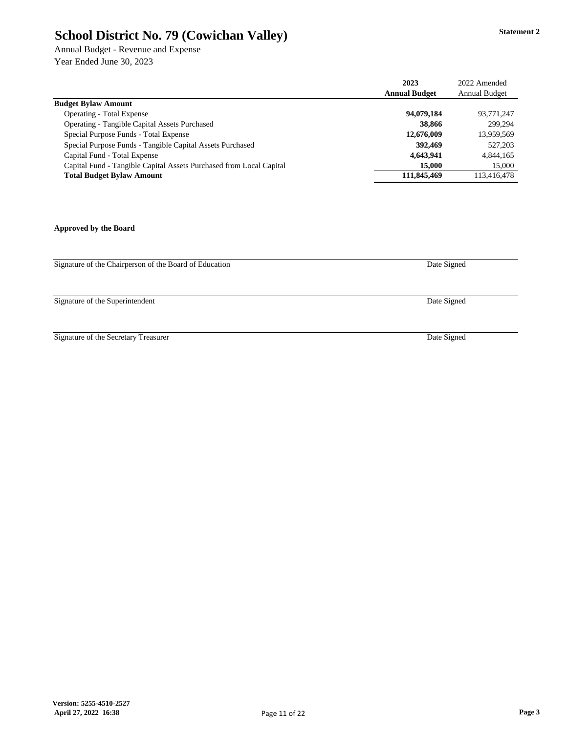Annual Budget - Revenue and Expense Year Ended June 30, 2023

|                                                                     | 2023                 | 2022 Amended         |
|---------------------------------------------------------------------|----------------------|----------------------|
|                                                                     | <b>Annual Budget</b> | <b>Annual Budget</b> |
| <b>Budget Bylaw Amount</b>                                          |                      |                      |
| <b>Operating - Total Expense</b>                                    | 94,079,184           | 93,771,247           |
| <b>Operating - Tangible Capital Assets Purchased</b>                | 38,866               | 299,294              |
| Special Purpose Funds - Total Expense                               | 12,676,009           | 13,959,569           |
| Special Purpose Funds - Tangible Capital Assets Purchased           | 392,469              | 527,203              |
| Capital Fund - Total Expense                                        | 4,643,941            | 4,844,165            |
| Capital Fund - Tangible Capital Assets Purchased from Local Capital | 15,000               | 15,000               |
| <b>Total Budget Bylaw Amount</b>                                    | 111,845,469          | 113,416,478          |

#### **Approved by the Board**

Signature of the Chairperson of the Board of Education

Signature of the Superintendent

Signature of the Secretary Treasurer

Date Signed

Date Signed

Date Signed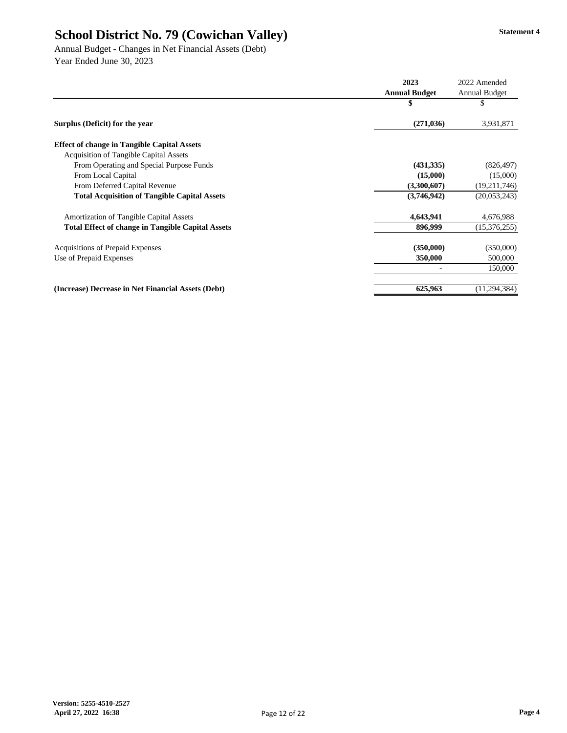Annual Budget - Changes in Net Financial Assets (Debt) Year Ended June 30, 2023

|                                                          | 2023                 | 2022 Amended         |
|----------------------------------------------------------|----------------------|----------------------|
|                                                          | <b>Annual Budget</b> | <b>Annual Budget</b> |
|                                                          | \$                   | \$                   |
| Surplus (Deficit) for the year                           | (271, 036)           | 3,931,871            |
| <b>Effect of change in Tangible Capital Assets</b>       |                      |                      |
| <b>Acquisition of Tangible Capital Assets</b>            |                      |                      |
| From Operating and Special Purpose Funds                 | (431, 335)           | (826, 497)           |
| From Local Capital                                       | (15,000)             | (15,000)             |
| From Deferred Capital Revenue                            | (3,300,607)          | (19,211,746)         |
| <b>Total Acquisition of Tangible Capital Assets</b>      | (3,746,942)          | (20,053,243)         |
| <b>Amortization of Tangible Capital Assets</b>           | 4,643,941            | 4,676,988            |
| <b>Total Effect of change in Tangible Capital Assets</b> | 896,999              | (15,376,255)         |
| <b>Acquisitions of Prepaid Expenses</b>                  | (350,000)            | (350,000)            |
| Use of Prepaid Expenses                                  | 350,000              | 500,000              |
|                                                          |                      | 150,000              |
| (Increase) Decrease in Net Financial Assets (Debt)       | 625,963              | (11, 294, 384)       |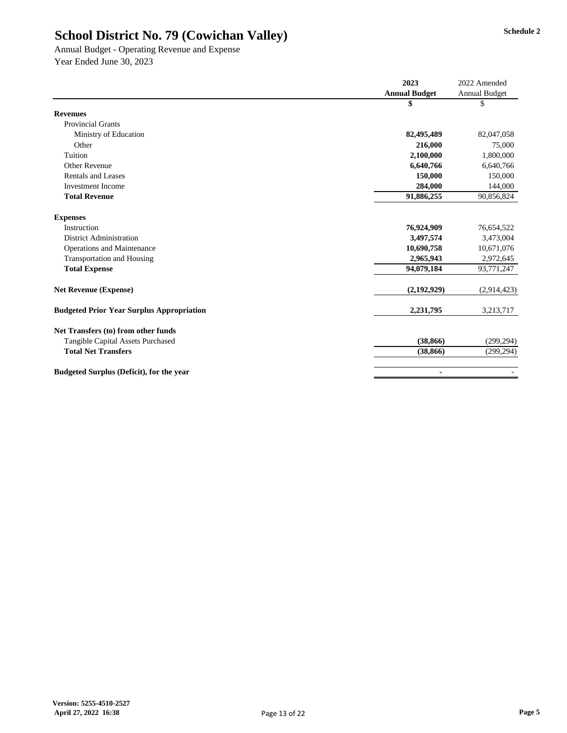Annual Budget - Operating Revenue and Expense Year Ended June 30, 2023

|                                                  | 2023                 | 2022 Amended         |
|--------------------------------------------------|----------------------|----------------------|
|                                                  | <b>Annual Budget</b> | <b>Annual Budget</b> |
|                                                  | \$                   | \$                   |
| <b>Revenues</b>                                  |                      |                      |
| <b>Provincial Grants</b>                         |                      |                      |
| Ministry of Education                            | 82,495,489           | 82,047,058           |
| Other                                            | 216,000              | 75,000               |
| Tuition                                          | 2,100,000            | 1,800,000            |
| <b>Other Revenue</b>                             | 6,640,766            | 6,640,766            |
| <b>Rentals and Leases</b>                        | 150,000              | 150,000              |
| <b>Investment Income</b>                         | 284,000              | 144,000              |
| <b>Total Revenue</b>                             | 91,886,255           | 90,856,824           |
| <b>Expenses</b>                                  |                      |                      |
| Instruction                                      | 76,924,909           | 76,654,522           |
| <b>District Administration</b>                   | 3,497,574            | 3,473,004            |
| <b>Operations and Maintenance</b>                | 10,690,758           | 10,671,076           |
| <b>Transportation and Housing</b>                | 2,965,943            | 2,972,645            |
| <b>Total Expense</b>                             | 94,079,184           | 93,771,247           |
| <b>Net Revenue (Expense)</b>                     | (2,192,929)          | (2,914,423)          |
| <b>Budgeted Prior Year Surplus Appropriation</b> | 2,231,795            | 3,213,717            |
| Net Transfers (to) from other funds              |                      |                      |
| <b>Tangible Capital Assets Purchased</b>         | (38, 866)            | (299, 294)           |
| <b>Total Net Transfers</b>                       | (38, 866)            | (299, 294)           |
| <b>Budgeted Surplus (Deficit), for the year</b>  |                      |                      |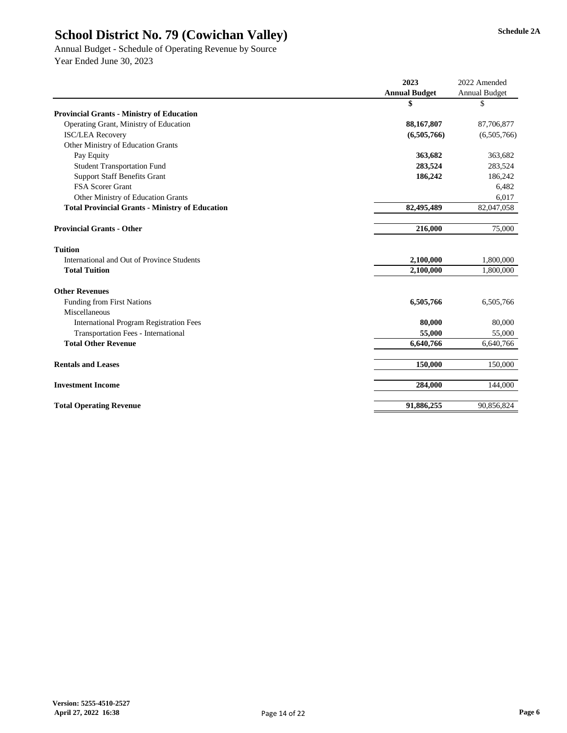Annual Budget - Schedule of Operating Revenue by Source Year Ended June 30, 2023

|                                                        | 2023                 | 2022 Amended         |
|--------------------------------------------------------|----------------------|----------------------|
|                                                        | <b>Annual Budget</b> | <b>Annual Budget</b> |
|                                                        | \$                   | \$                   |
| <b>Provincial Grants - Ministry of Education</b>       |                      |                      |
| Operating Grant, Ministry of Education                 | 88,167,807           | 87,706,877           |
| <b>ISC/LEA Recovery</b>                                | (6,505,766)          | (6,505,766)          |
| Other Ministry of Education Grants                     |                      |                      |
| Pay Equity                                             | 363,682              | 363,682              |
| <b>Student Transportation Fund</b>                     | 283,524              | 283,524              |
| <b>Support Staff Benefits Grant</b>                    | 186,242              | 186,242              |
| FSA Scorer Grant                                       |                      | 6,482                |
| <b>Other Ministry of Education Grants</b>              |                      | 6,017                |
| <b>Total Provincial Grants - Ministry of Education</b> | 82,495,489           | 82,047,058           |
| <b>Provincial Grants - Other</b>                       | 216,000              | 75,000               |
| <b>Tuition</b>                                         |                      |                      |
| International and Out of Province Students             | 2,100,000            | 1,800,000            |
| <b>Total Tuition</b>                                   | 2,100,000            | 1,800,000            |
| <b>Other Revenues</b>                                  |                      |                      |
| <b>Funding from First Nations</b>                      | 6,505,766            | 6,505,766            |
| Miscellaneous                                          |                      |                      |
| <b>International Program Registration Fees</b>         | 80,000               | 80,000               |
| <b>Transportation Fees - International</b>             | 55,000               | 55,000               |
| <b>Total Other Revenue</b>                             | 6,640,766            | 6,640,766            |
| <b>Rentals and Leases</b>                              | 150,000              | 150,000              |
| <b>Investment Income</b>                               | 284,000              | 144,000              |
| <b>Total Operating Revenue</b>                         | 91,886,255           | 90,856,824           |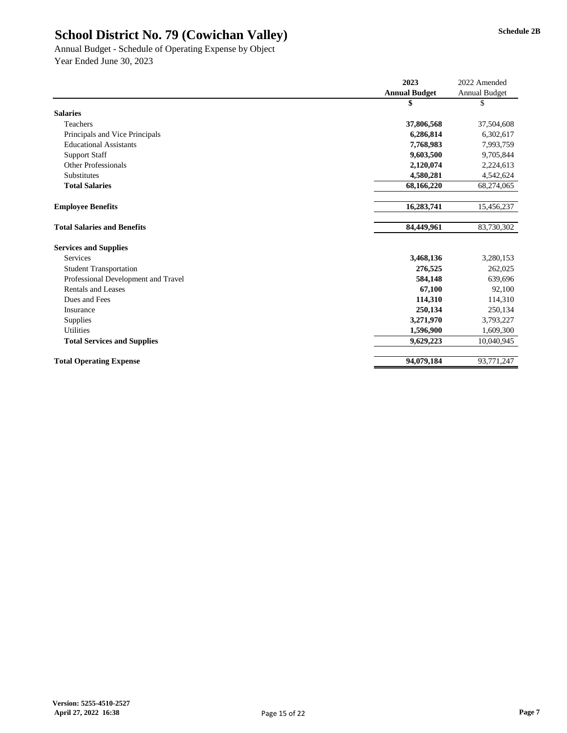Annual Budget - Schedule of Operating Expense by Object Year Ended June 30, 2023

|                                     | 2023                 | 2022 Amended         |
|-------------------------------------|----------------------|----------------------|
|                                     | <b>Annual Budget</b> | <b>Annual Budget</b> |
|                                     | \$                   | \$                   |
| <b>Salaries</b>                     |                      |                      |
| Teachers                            | 37,806,568           | 37,504,608           |
| Principals and Vice Principals      | 6,286,814            | 6,302,617            |
| <b>Educational Assistants</b>       | 7,768,983            | 7,993,759            |
| <b>Support Staff</b>                | 9,603,500            | 9,705,844            |
| <b>Other Professionals</b>          | 2,120,074            | 2,224,613            |
| Substitutes                         | 4,580,281            | 4,542,624            |
| <b>Total Salaries</b>               | 68,166,220           | 68,274,065           |
|                                     |                      |                      |
| <b>Employee Benefits</b>            | 16,283,741           | 15,456,237           |
|                                     |                      |                      |
| <b>Total Salaries and Benefits</b>  | 84,449,961           | 83,730,302           |
| <b>Services and Supplies</b>        |                      |                      |
| Services                            | 3,468,136            | 3,280,153            |
| <b>Student Transportation</b>       | 276,525              | 262,025              |
| Professional Development and Travel | 584,148              | 639,696              |
| <b>Rentals and Leases</b>           | 67,100               | 92,100               |
| Dues and Fees                       | 114,310              | 114,310              |
| Insurance                           | 250,134              | 250,134              |
| Supplies                            | 3,271,970            | 3,793,227            |
| <b>Utilities</b>                    | 1,596,900            | 1,609,300            |
| <b>Total Services and Supplies</b>  | 9,629,223            | 10,040,945           |
|                                     |                      |                      |
| <b>Total Operating Expense</b>      | 94,079,184           | 93,771,247           |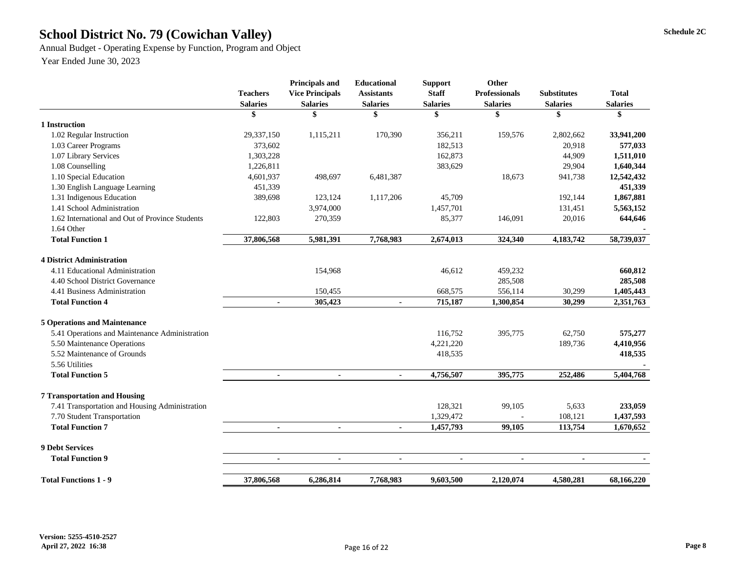# School District No. 79 (Cowichan Valley) Schedule 2C

Annual Budget - Operating Expense by Function, Program and Object

Year Ended June 30, 2023

|                                                 | <b>Teachers</b><br><b>Salaries</b> | <b>Principals and</b><br><b>Vice Principals</b><br><b>Salaries</b> | <b>Educational</b><br><b>Assistants</b><br><b>Salaries</b> | <b>Support</b><br><b>Staff</b><br><b>Salaries</b> | <b>Other</b><br><b>Professionals</b><br><b>Salaries</b> | <b>Substitutes</b><br><b>Salaries</b> | <b>Total</b><br><b>Salaries</b> |
|-------------------------------------------------|------------------------------------|--------------------------------------------------------------------|------------------------------------------------------------|---------------------------------------------------|---------------------------------------------------------|---------------------------------------|---------------------------------|
|                                                 | \$                                 | \$                                                                 | \$                                                         | \$                                                | \$                                                      | \$                                    | \$                              |
| 1 Instruction                                   |                                    |                                                                    |                                                            |                                                   |                                                         |                                       |                                 |
| 1.02 Regular Instruction                        | 29,337,150                         | 1,115,211                                                          | 170,390                                                    | 356,211                                           | 159,576                                                 | 2,802,662                             | 33,941,200                      |
| 1.03 Career Programs                            | 373,602                            |                                                                    |                                                            | 182,513                                           |                                                         | 20,918                                | 577,033                         |
| 1.07 Library Services                           | 1,303,228                          |                                                                    |                                                            | 162,873                                           |                                                         | 44,909                                | 1,511,010                       |
| 1.08 Counselling                                | 1,226,811                          |                                                                    |                                                            | 383,629                                           |                                                         | 29,904                                | 1,640,344                       |
| 1.10 Special Education                          | 4,601,937                          | 498,697                                                            | 6,481,387                                                  |                                                   | 18,673                                                  | 941,738                               | 12,542,432                      |
| 1.30 English Language Learning                  | 451,339                            |                                                                    |                                                            |                                                   |                                                         |                                       | 451,339                         |
| 1.31 Indigenous Education                       | 389,698                            | 123,124                                                            | 1,117,206                                                  | 45,709                                            |                                                         | 192,144                               | 1,867,881                       |
| 1.41 School Administration                      |                                    | 3,974,000                                                          |                                                            | 1,457,701                                         |                                                         | 131,451                               | 5,563,152                       |
| 1.62 International and Out of Province Students | 122,803                            | 270,359                                                            |                                                            | 85,377                                            | 146,091                                                 | 20,016                                | 644,646                         |
| 1.64 Other                                      |                                    |                                                                    |                                                            |                                                   |                                                         |                                       |                                 |
| <b>Total Function 1</b>                         | 37,806,568                         | 5,981,391                                                          | 7,768,983                                                  | 2,674,013                                         | 324,340                                                 | 4,183,742                             | 58,739,037                      |
| <b>4 District Administration</b>                |                                    |                                                                    |                                                            |                                                   |                                                         |                                       |                                 |
| 4.11 Educational Administration                 |                                    | 154,968                                                            |                                                            | 46,612                                            | 459,232                                                 |                                       | 660,812                         |
| 4.40 School District Governance                 |                                    |                                                                    |                                                            |                                                   | 285,508                                                 |                                       | 285,508                         |
| 4.41 Business Administration                    |                                    | 150,455                                                            |                                                            | 668,575                                           | 556,114                                                 | 30,299                                | 1,405,443                       |
| <b>Total Function 4</b>                         | $\blacksquare$                     | 305,423                                                            | $\blacksquare$                                             | 715,187                                           | 1,300,854                                               | 30,299                                | 2,351,763                       |
| <b>5 Operations and Maintenance</b>             |                                    |                                                                    |                                                            |                                                   |                                                         |                                       |                                 |
| 5.41 Operations and Maintenance Administration  |                                    |                                                                    |                                                            | 116,752                                           | 395,775                                                 | 62,750                                | 575,277                         |
| 5.50 Maintenance Operations                     |                                    |                                                                    |                                                            | 4,221,220                                         |                                                         | 189,736                               | 4,410,956                       |
| 5.52 Maintenance of Grounds                     |                                    |                                                                    |                                                            | 418,535                                           |                                                         |                                       | 418,535                         |
| 5.56 Utilities                                  |                                    |                                                                    |                                                            |                                                   |                                                         |                                       |                                 |
| <b>Total Function 5</b>                         | $\blacksquare$                     | $\blacksquare$                                                     | $\blacksquare$                                             | 4,756,507                                         | 395,775                                                 | 252,486                               | 5,404,768                       |
| <b>7 Transportation and Housing</b>             |                                    |                                                                    |                                                            |                                                   |                                                         |                                       |                                 |
| 7.41 Transportation and Housing Administration  |                                    |                                                                    |                                                            | 128,321                                           | 99,105                                                  | 5,633                                 | 233,059                         |
| 7.70 Student Transportation                     |                                    |                                                                    |                                                            | 1,329,472                                         |                                                         | 108,121                               | 1,437,593                       |
| <b>Total Function 7</b>                         |                                    |                                                                    |                                                            | 1,457,793                                         | 99,105                                                  | 113,754                               | 1,670,652                       |
| <b>9 Debt Services</b>                          |                                    |                                                                    |                                                            |                                                   |                                                         |                                       |                                 |
| <b>Total Function 9</b>                         | $\blacksquare$                     | $\blacksquare$                                                     | $\blacksquare$                                             | $\blacksquare$                                    | $\blacksquare$                                          | $\blacksquare$                        |                                 |
| <b>Total Functions 1 - 9</b>                    | 37,806,568                         | 6,286,814                                                          | 7,768,983                                                  | 9,603,500                                         | 2,120,074                                               | 4,580,281                             | 68,166,220                      |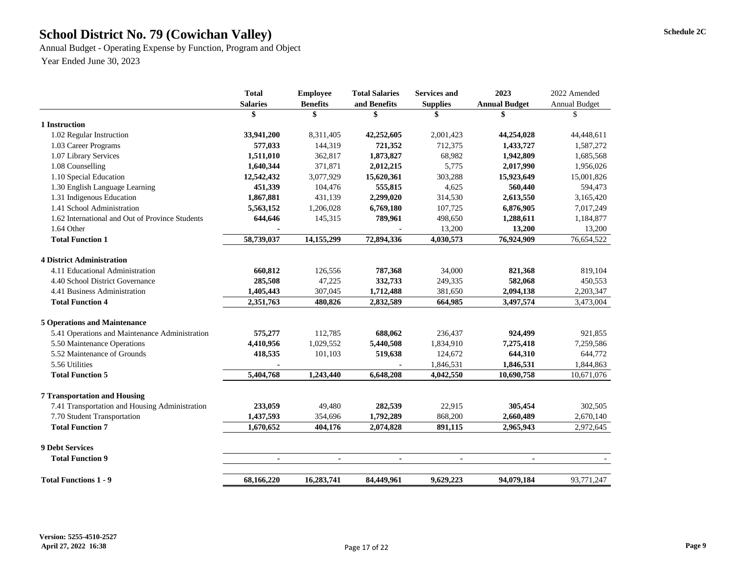# School District No. 79 (Cowichan Valley) Schedule 2C

Annual Budget - Operating Expense by Function, Program and Object Year Ended June 30, 2023

|                                                 | <b>Total</b>    | <b>Employee</b> | <b>Total Salaries</b> | <b>Services and</b> | 2023                 | 2022 Amended         |  |
|-------------------------------------------------|-----------------|-----------------|-----------------------|---------------------|----------------------|----------------------|--|
|                                                 | <b>Salaries</b> | <b>Benefits</b> | and Benefits          | <b>Supplies</b>     | <b>Annual Budget</b> | <b>Annual Budget</b> |  |
|                                                 | \$              | \$              | \$                    | \$                  |                      | \$                   |  |
| 1 Instruction                                   |                 |                 |                       |                     |                      |                      |  |
| 1.02 Regular Instruction                        | 33,941,200      | 8,311,405       | 42,252,605            | 2,001,423           | 44,254,028           | 44,448,611           |  |
| 1.03 Career Programs                            | 577,033         | 144,319         | 721,352               | 712,375             | 1,433,727            | 1,587,272            |  |
| 1.07 Library Services                           | 1,511,010       | 362,817         | 1,873,827             | 68,982              | 1,942,809            | 1,685,568            |  |
| 1.08 Counselling                                | 1,640,344       | 371,871         | 2,012,215             | 5,775               | 2,017,990            | 1,956,026            |  |
| 1.10 Special Education                          | 12,542,432      | 3,077,929       | 15,620,361            | 303,288             | 15,923,649           | 15,001,826           |  |
| 1.30 English Language Learning                  | 451,339         | 104,476         | 555,815               | 4,625               | 560,440              | 594,473              |  |
| 1.31 Indigenous Education                       | 1,867,881       | 431,139         | 2,299,020             | 314,530             | 2,613,550            | 3,165,420            |  |
| 1.41 School Administration                      | 5,563,152       | 1,206,028       | 6,769,180             | 107,725             | 6,876,905            | 7,017,249            |  |
| 1.62 International and Out of Province Students | 644,646         | 145,315         | 789,961               | 498,650             | 1,288,611            | 1,184,877            |  |
| 1.64 Other                                      |                 |                 |                       | 13,200              | 13,200               | 13,200               |  |
| <b>Total Function 1</b>                         | 58,739,037      | 14, 155, 299    | 72,894,336            | 4,030,573           | 76,924,909           | 76,654,522           |  |
| <b>4 District Administration</b>                |                 |                 |                       |                     |                      |                      |  |
| 4.11 Educational Administration                 | 660,812         | 126,556         | 787,368               | 34,000              | 821,368              | 819,104              |  |
| 4.40 School District Governance                 | 285,508         | 47,225          | 332,733               | 249,335             | 582,068              | 450,553              |  |
| 4.41 Business Administration                    | 1,405,443       | 307,045         | 1,712,488             | 381,650             | 2,094,138            | 2,203,347            |  |
| <b>Total Function 4</b>                         | 2,351,763       | 480,826         | 2,832,589             | 664,985             | 3,497,574            | 3,473,004            |  |
| <b>5 Operations and Maintenance</b>             |                 |                 |                       |                     |                      |                      |  |
| 5.41 Operations and Maintenance Administration  | 575,277         | 112,785         | 688,062               | 236,437             | 924,499              | 921,855              |  |
| 5.50 Maintenance Operations                     | 4,410,956       | 1,029,552       | 5,440,508             | 1,834,910           | 7,275,418            | 7,259,586            |  |
| 5.52 Maintenance of Grounds                     | 418,535         | 101,103         | 519,638               | 124,672             | 644,310              | 644,772              |  |
| 5.56 Utilities                                  |                 |                 |                       | 1,846,531           | 1,846,531            | 1,844,863            |  |
| <b>Total Function 5</b>                         | 5,404,768       | 1,243,440       | 6,648,208             | 4,042,550           | 10,690,758           | 10,671,076           |  |
| <b>7 Transportation and Housing</b>             |                 |                 |                       |                     |                      |                      |  |
| 7.41 Transportation and Housing Administration  | 233,059         | 49,480          | 282,539               | 22,915              | 305,454              | 302,505              |  |
| 7.70 Student Transportation                     | 1,437,593       | 354,696         | 1,792,289             | 868,200             | 2,660,489            | 2,670,140            |  |
| <b>Total Function 7</b>                         | 1,670,652       | 404,176         | 2,074,828             | 891,115             | 2,965,943            | 2,972,645            |  |
| <b>9 Debt Services</b>                          |                 |                 |                       |                     |                      |                      |  |
| <b>Total Function 9</b>                         |                 |                 |                       |                     |                      |                      |  |
| <b>Total Functions 1 - 9</b>                    | 68,166,220      |                 | 84,449,961            | 9,629,223           | 94,079,184           | 93,771,247           |  |
|                                                 |                 | 16,283,741      |                       |                     |                      |                      |  |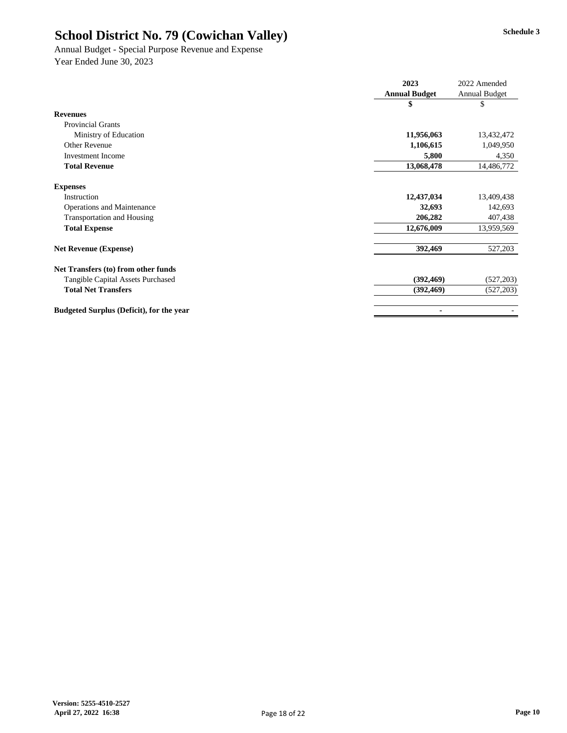Annual Budget - Special Purpose Revenue and Expense Year Ended June 30, 2023

|                                                 | 2023                 | 2022 Amended         |
|-------------------------------------------------|----------------------|----------------------|
|                                                 | <b>Annual Budget</b> | <b>Annual Budget</b> |
|                                                 | \$                   | \$                   |
| <b>Revenues</b>                                 |                      |                      |
| <b>Provincial Grants</b>                        |                      |                      |
| Ministry of Education                           | 11,956,063           | 13,432,472           |
| Other Revenue                                   | 1,106,615            | 1,049,950            |
| <b>Investment Income</b>                        | 5,800                | 4,350                |
| <b>Total Revenue</b>                            | 13,068,478           | 14,486,772           |
| <b>Expenses</b>                                 |                      |                      |
| Instruction                                     | 12,437,034           | 13,409,438           |
| <b>Operations and Maintenance</b>               | 32,693               | 142,693              |
| <b>Transportation and Housing</b>               | 206,282              | 407,438              |
| <b>Total Expense</b>                            | 12,676,009           | 13,959,569           |
| <b>Net Revenue (Expense)</b>                    | 392,469              | 527,203              |
| Net Transfers (to) from other funds             |                      |                      |
| <b>Tangible Capital Assets Purchased</b>        | (392, 469)           | (527,203)            |
| <b>Total Net Transfers</b>                      | (392, 469)           | (527, 203)           |
| <b>Budgeted Surplus (Deficit), for the year</b> |                      |                      |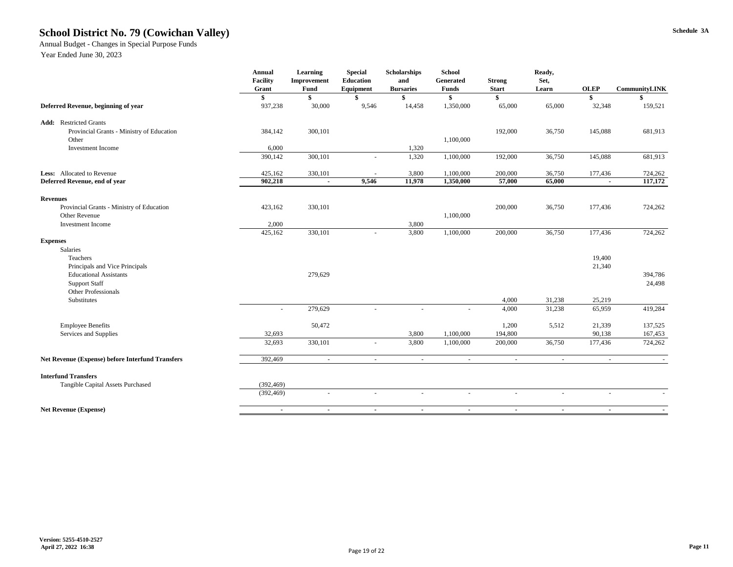# School District No. 79 (Cowichan Valley) Schedule 3A

Annual Budget - Changes in Special Purpose Funds

|                                                    | <b>Annual</b><br><b>Facility</b><br>Grant | <b>Learning</b><br>Improvement<br><b>Fund</b> | <b>Special</b><br><b>Education</b><br>Equipment | Scholarships<br>and<br><b>Bursaries</b> | <b>School</b><br>Generated<br><b>Funds</b> | <b>Strong</b><br><b>Start</b> | Ready,<br>Set,<br>Learn | <b>OLEP</b>    | <b>CommunityLINK</b>      |
|----------------------------------------------------|-------------------------------------------|-----------------------------------------------|-------------------------------------------------|-----------------------------------------|--------------------------------------------|-------------------------------|-------------------------|----------------|---------------------------|
|                                                    |                                           | \$                                            |                                                 |                                         |                                            | \$                            |                         | $\mathbf{\$}$  | $\boldsymbol{\mathsf{s}}$ |
| Deferred Revenue, beginning of year                | 937,238                                   | 30,000                                        | 9,546                                           | 14,458                                  | 1,350,000                                  | 65,000                        | 65,000                  | 32,348         | 159,521                   |
| <b>Restricted Grants</b><br>Add:                   |                                           |                                               |                                                 |                                         |                                            |                               |                         |                |                           |
| Provincial Grants - Ministry of Education          | 384,142                                   | 300,101                                       |                                                 |                                         |                                            | 192,000                       | 36,750                  | 145,088        | 681,913                   |
| Other                                              |                                           |                                               |                                                 |                                         | 1,100,000                                  |                               |                         |                |                           |
| <b>Investment Income</b>                           | 6,000                                     |                                               |                                                 | 1,320                                   |                                            |                               |                         |                |                           |
|                                                    | 390,142                                   | 300,101                                       | $\overline{\phantom{a}}$                        | 1,320                                   | 1,100,000                                  | 192,000                       | 36,750                  | 145,088        | 681,913                   |
| <b>Less:</b> Allocated to Revenue                  | 425,162                                   | 330,101                                       |                                                 | 3,800                                   | 1,100,000                                  | 200,000                       | 36,750                  | 177,436        | 724,262                   |
| Deferred Revenue, end of year                      | 902,218                                   | $\blacksquare$                                | 9,546                                           | 11,978                                  | 1,350,000                                  | 57,000                        | 65,000                  | $\blacksquare$ | 117,172                   |
| <b>Revenues</b>                                    |                                           |                                               |                                                 |                                         |                                            |                               |                         |                |                           |
| Provincial Grants - Ministry of Education          | 423,162                                   | 330,101                                       |                                                 |                                         |                                            | 200,000                       | 36,750                  | 177,436        | 724,262                   |
| <b>Other Revenue</b>                               |                                           |                                               |                                                 |                                         | 1,100,000                                  |                               |                         |                |                           |
| <b>Investment Income</b>                           | 2,000                                     |                                               |                                                 | 3,800                                   |                                            |                               |                         |                |                           |
|                                                    | 425,162                                   | 330,101                                       | $\overline{\phantom{a}}$                        | 3,800                                   | 1,100,000                                  | 200,000                       | 36,750                  | 177,436        | 724,262                   |
| <b>Expenses</b>                                    |                                           |                                               |                                                 |                                         |                                            |                               |                         |                |                           |
| Salaries                                           |                                           |                                               |                                                 |                                         |                                            |                               |                         |                |                           |
| Teachers                                           |                                           |                                               |                                                 |                                         |                                            |                               |                         | 19,400         |                           |
| Principals and Vice Principals                     |                                           |                                               |                                                 |                                         |                                            |                               |                         | 21,340         |                           |
| <b>Educational Assistants</b>                      |                                           | 279,629                                       |                                                 |                                         |                                            |                               |                         |                | 394,786                   |
| <b>Support Staff</b><br><b>Other Professionals</b> |                                           |                                               |                                                 |                                         |                                            |                               |                         |                | 24,498                    |
| Substitutes                                        |                                           |                                               |                                                 |                                         |                                            | 4,000                         | 31,238                  | 25,219         |                           |
|                                                    | $\sim$                                    | 279,629                                       | $\overline{\phantom{a}}$                        |                                         | $\overline{\phantom{a}}$                   | 4,000                         | 31,238                  | 65,959         | 419,284                   |
| <b>Employee Benefits</b>                           |                                           | 50,472                                        |                                                 |                                         |                                            | 1,200                         | 5,512                   | 21,339         | 137,525                   |
| Services and Supplies                              | 32,693                                    |                                               |                                                 | 3,800                                   | 1,100,000                                  | 194,800                       |                         | 90,138         | 167,453                   |
|                                                    | 32,693                                    | 330,101                                       |                                                 | 3,800                                   | 1,100,000                                  | 200,000                       | 36,750                  | 177,436        | 724,262                   |
| Net Revenue (Expense) before Interfund Transfers   | 392,469                                   | $\overline{\phantom{a}}$                      |                                                 |                                         |                                            |                               |                         | $\sim$         |                           |
| <b>Interfund Transfers</b>                         |                                           |                                               |                                                 |                                         |                                            |                               |                         |                |                           |
| Tangible Capital Assets Purchased                  | (392, 469)                                |                                               |                                                 |                                         |                                            |                               |                         |                |                           |
|                                                    | (392, 469)                                | $\overline{\phantom{a}}$                      |                                                 |                                         | $\overline{\phantom{a}}$                   |                               |                         |                |                           |
| <b>Net Revenue (Expense)</b>                       |                                           | $\blacksquare$                                |                                                 |                                         |                                            |                               |                         | $\blacksquare$ |                           |
|                                                    |                                           |                                               |                                                 |                                         |                                            |                               |                         |                |                           |

Year Ended June 30, 2023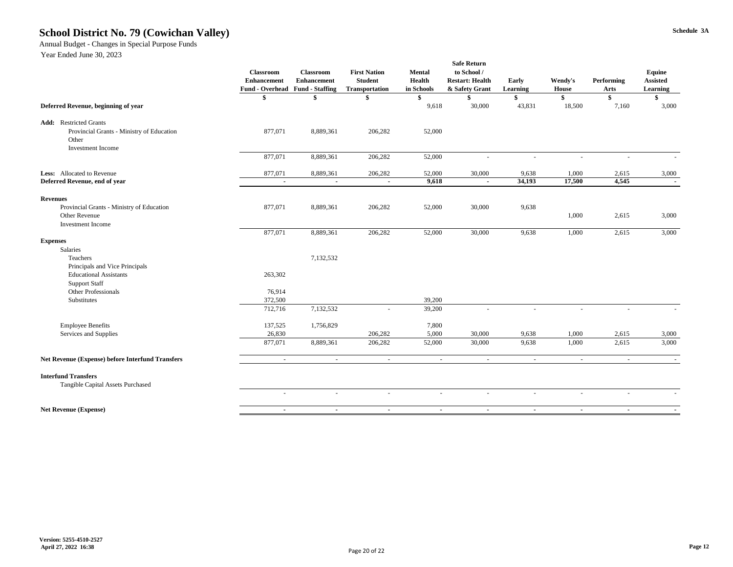### School District No. 79 (Cowichan Valley) Schedule 3A

Annual Budget - Changes in Special Purpose Funds

Year Ended June 30, 2023

|                                                         | <b>Classroom</b><br><b>Enhancement</b><br><b>Fund - Overhead Fund - Staffing</b> | <b>Classroom</b><br><b>Enhancement</b> | <b>First Nation</b><br><b>Student</b><br><b>Transportation</b> | <b>Mental</b><br><b>Health</b><br>in Schools | <b>Safe Return</b><br>to School /<br><b>Restart: Health</b><br>& Safety Grant | Early<br>Learning        | Wendy's<br>House | <b>Performing</b><br><b>Arts</b> | Equine<br><b>Assisted</b><br><b>Learning</b> |
|---------------------------------------------------------|----------------------------------------------------------------------------------|----------------------------------------|----------------------------------------------------------------|----------------------------------------------|-------------------------------------------------------------------------------|--------------------------|------------------|----------------------------------|----------------------------------------------|
|                                                         | Y                                                                                | Φ                                      | P                                                              |                                              |                                                                               |                          |                  | $\boldsymbol{\$}$                |                                              |
| Deferred Revenue, beginning of year                     |                                                                                  |                                        |                                                                | 9,618                                        | 30,000                                                                        | 43,831                   | 18,500           | 7,160                            | 3,000                                        |
| <b>Add:</b> Restricted Grants                           |                                                                                  |                                        |                                                                |                                              |                                                                               |                          |                  |                                  |                                              |
| Provincial Grants - Ministry of Education               | 877,071                                                                          | 8,889,361                              | 206,282                                                        | 52,000                                       |                                                                               |                          |                  |                                  |                                              |
| Other                                                   |                                                                                  |                                        |                                                                |                                              |                                                                               |                          |                  |                                  |                                              |
| <b>Investment Income</b>                                |                                                                                  |                                        |                                                                |                                              |                                                                               |                          |                  |                                  |                                              |
|                                                         | 877,071                                                                          | 8,889,361                              | 206,282                                                        | 52,000                                       | $\overline{\phantom{a}}$                                                      | $\overline{\phantom{a}}$ |                  |                                  |                                              |
| Less: Allocated to Revenue                              | 877,071                                                                          | 8,889,361                              | 206,282                                                        | 52,000                                       | 30,000                                                                        | 9,638                    | 1,000            | 2,615                            | 3,000                                        |
| Deferred Revenue, end of year                           | $\sim$                                                                           | $\sim$                                 | $\sim$                                                         | 9,618                                        | $\sim$                                                                        | 34,193                   | 17,500           | 4,545                            | $\sim$                                       |
| <b>Revenues</b>                                         |                                                                                  |                                        |                                                                |                                              |                                                                               |                          |                  |                                  |                                              |
| Provincial Grants - Ministry of Education               | 877,071                                                                          | 8,889,361                              | 206,282                                                        | 52,000                                       | 30,000                                                                        | 9,638                    |                  |                                  |                                              |
| <b>Other Revenue</b>                                    |                                                                                  |                                        |                                                                |                                              |                                                                               |                          | 1,000            | 2,615                            | 3,000                                        |
| <b>Investment Income</b>                                |                                                                                  |                                        |                                                                |                                              |                                                                               |                          |                  |                                  |                                              |
|                                                         | 877,071                                                                          | 8,889,361                              | 206,282                                                        | 52,000                                       | 30,000                                                                        | 9,638                    | 1,000            | 2,615                            | 3,000                                        |
| <b>Expenses</b>                                         |                                                                                  |                                        |                                                                |                                              |                                                                               |                          |                  |                                  |                                              |
| <b>Salaries</b>                                         |                                                                                  |                                        |                                                                |                                              |                                                                               |                          |                  |                                  |                                              |
| Teachers                                                |                                                                                  | 7,132,532                              |                                                                |                                              |                                                                               |                          |                  |                                  |                                              |
| Principals and Vice Principals                          |                                                                                  |                                        |                                                                |                                              |                                                                               |                          |                  |                                  |                                              |
| <b>Educational Assistants</b>                           | 263,302                                                                          |                                        |                                                                |                                              |                                                                               |                          |                  |                                  |                                              |
| <b>Support Staff</b>                                    |                                                                                  |                                        |                                                                |                                              |                                                                               |                          |                  |                                  |                                              |
| <b>Other Professionals</b>                              | 76,914                                                                           |                                        |                                                                |                                              |                                                                               |                          |                  |                                  |                                              |
| Substitutes                                             | 372,500<br>712,716                                                               |                                        |                                                                | 39,200<br>39,200                             |                                                                               |                          |                  |                                  |                                              |
|                                                         |                                                                                  | 7,132,532                              |                                                                |                                              |                                                                               |                          |                  |                                  |                                              |
| <b>Employee Benefits</b>                                | 137,525                                                                          | 1,756,829                              |                                                                | 7,800                                        |                                                                               |                          |                  |                                  |                                              |
| Services and Supplies                                   | 26,830                                                                           |                                        | 206,282                                                        | 5,000                                        | 30,000                                                                        | 9,638                    | 1,000            | 2,615                            | 3,000                                        |
|                                                         | 877,071                                                                          | 8,889,361                              | 206,282                                                        | 52,000                                       | 30,000                                                                        | 9,638                    | 1,000            | 2,615                            | 3,000                                        |
| <b>Net Revenue (Expense) before Interfund Transfers</b> |                                                                                  | $\overline{\phantom{a}}$               |                                                                | $\overline{\phantom{a}}$                     | $\overline{\phantom{a}}$                                                      | $\sim$                   | $\sim$           | $\sim$                           |                                              |
|                                                         |                                                                                  |                                        |                                                                |                                              |                                                                               |                          |                  |                                  |                                              |
| <b>Interfund Transfers</b>                              |                                                                                  |                                        |                                                                |                                              |                                                                               |                          |                  |                                  |                                              |
| Tangible Capital Assets Purchased                       |                                                                                  |                                        |                                                                |                                              |                                                                               |                          |                  |                                  |                                              |
|                                                         |                                                                                  |                                        |                                                                |                                              |                                                                               |                          |                  |                                  |                                              |
| <b>Net Revenue (Expense)</b>                            |                                                                                  |                                        |                                                                |                                              |                                                                               |                          |                  |                                  |                                              |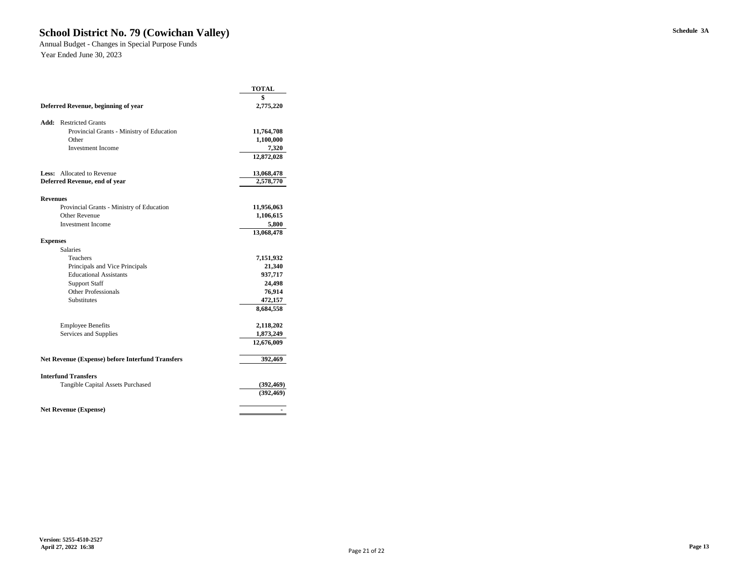# School District No. 79 (Cowichan Valley) Schedule 3A

Annual Budget - Changes in Special Purpose Funds Year Ended June 30, 2023

|                               |                                                                   | <b>TOTAL</b>            |
|-------------------------------|-------------------------------------------------------------------|-------------------------|
|                               |                                                                   | \$                      |
|                               | Deferred Revenue, beginning of year                               | 2,775,220               |
| Add:                          | <b>Restricted Grants</b>                                          |                         |
|                               | Provincial Grants - Ministry of Education                         | 11,764,708              |
|                               | Other                                                             | 1,100,000               |
|                               | <b>Investment</b> Income                                          | 7,320                   |
|                               |                                                                   | 12,872,028              |
| Less:                         | <b>Allocated to Revenue</b>                                       | 13,068,478              |
| Deferred Revenue, end of year |                                                                   | 2,578,770               |
|                               |                                                                   |                         |
| <b>Revenues</b>               |                                                                   |                         |
|                               | Provincial Grants - Ministry of Education<br><b>Other Revenue</b> | 11,956,063<br>1,106,615 |
|                               | <b>Investment Income</b>                                          | 5,800                   |
|                               |                                                                   | 13,068,478              |
| <b>Expenses</b>               |                                                                   |                         |
|                               | <b>Salaries</b>                                                   |                         |
|                               | Teachers                                                          | 7,151,932               |
|                               | Principals and Vice Principals                                    | 21,340                  |
|                               | <b>Educational Assistants</b>                                     | 937,717                 |
|                               | <b>Support Staff</b>                                              | 24,498                  |
|                               | <b>Other Professionals</b>                                        | 76,914                  |
|                               | Substitutes                                                       | 472,157                 |
|                               |                                                                   | 8,684,558               |
|                               | <b>Employee Benefits</b>                                          | 2,118,202               |
| Services and Supplies         |                                                                   | 1,873,249               |
|                               |                                                                   | 12,676,009              |
|                               | <b>Net Revenue (Expense) before Interfund Transfers</b>           | 392,469                 |
|                               | <b>Interfund Transfers</b>                                        |                         |
|                               | <b>Tangible Capital Assets Purchased</b>                          | (392, 469)              |
|                               |                                                                   | (392, 469)              |
|                               | <b>Net Revenue (Expense)</b>                                      |                         |
|                               |                                                                   |                         |